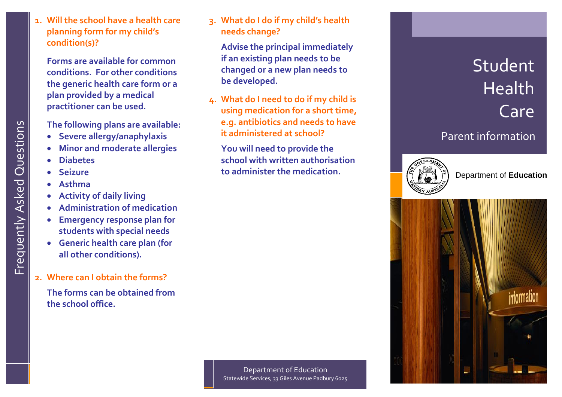**1 . Will the school have a health care planning form for my chi ld's condition(s)?**

**Forms are available for common conditions. For other conditions the generic health care form or a plan provided by a medical practitioner can be used.** 

**The following plans are available:**

- **Severe allergy/anaphylaxis**
- **Minor and moderate allergies**
- **Diabetes**
- **Seizure**
- **Asthma**
- **Activity of daily living**
- **Administration of medication**
- **Emergency response plan for students with special needs**
- **Generic health care plan (for all other conditions).**
- **2 . Where can I obtain the forms?**

**The forms can be obt ained from the school office.**

**3 . What do I do if my child's health needs change?**

**Advise the principal immediately if an existing plan needs to be changed or a new plan needs to be developed.** 

**4. What do I need to do if my child is using medication for a short time, e.g. antibiotics and needs to have it administered at school?**

**You will need to provide the school with written authorisation to administer the medication.** 





Department of **Education**



Department of Education Statewide Services, 33 Giles Avenue Padbury 6025